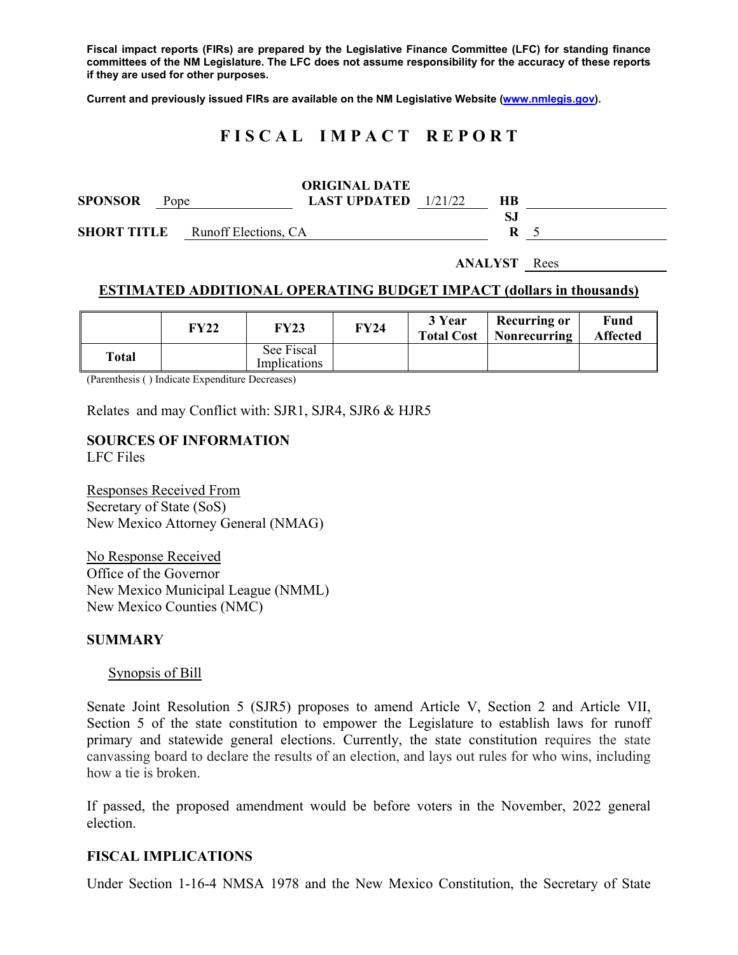**Fiscal impact reports (FIRs) are prepared by the Legislative Finance Committee (LFC) for standing finance committees of the NM Legislature. The LFC does not assume responsibility for the accuracy of these reports if they are used for other purposes.** 

**Current and previously issued FIRs are available on the NM Legislative Website (www.nmlegis.gov).** 

# **F I S C A L I M P A C T R E P O R T**

|                    |                      | <b>ORIGINAL DATE</b>          |    |  |  |
|--------------------|----------------------|-------------------------------|----|--|--|
| <b>SPONSOR</b>     | Pope                 | <b>LAST UPDATED</b> $1/21/22$ | HВ |  |  |
|                    |                      |                               |    |  |  |
| <b>SHORT TITLE</b> | Runoff Elections, CA |                               | R  |  |  |
|                    |                      |                               |    |  |  |

**ANALYST** Rees

## **ESTIMATED ADDITIONAL OPERATING BUDGET IMPACT (dollars in thousands)**

|       | FY22 | FY23                       | FY24 | 3 Year<br><b>Total Cost</b> | Recurring or<br>Nonrecurring | Fund<br><b>Affected</b> |
|-------|------|----------------------------|------|-----------------------------|------------------------------|-------------------------|
| Total |      | See Fiscal<br>Implications |      |                             |                              |                         |

(Parenthesis ( ) Indicate Expenditure Decreases)

Relates and may Conflict with: SJR1, SJR4, SJR6 & HJR5

## **SOURCES OF INFORMATION**

LFC Files

Responses Received From Secretary of State (SoS) New Mexico Attorney General (NMAG)

No Response Received Office of the Governor New Mexico Municipal League (NMML) New Mexico Counties (NMC)

#### **SUMMARY**

#### Synopsis of Bill

Senate Joint Resolution 5 (SJR5) proposes to amend Article V, Section 2 and Article VII, Section 5 of the state constitution to empower the Legislature to establish laws for runoff primary and statewide general elections. Currently, the state constitution requires the state canvassing board to declare the results of an election, and lays out rules for who wins, including how a tie is broken.

If passed, the proposed amendment would be before voters in the November, 2022 general election.

#### **FISCAL IMPLICATIONS**

Under Section 1-16-4 NMSA 1978 and the New Mexico Constitution, the Secretary of State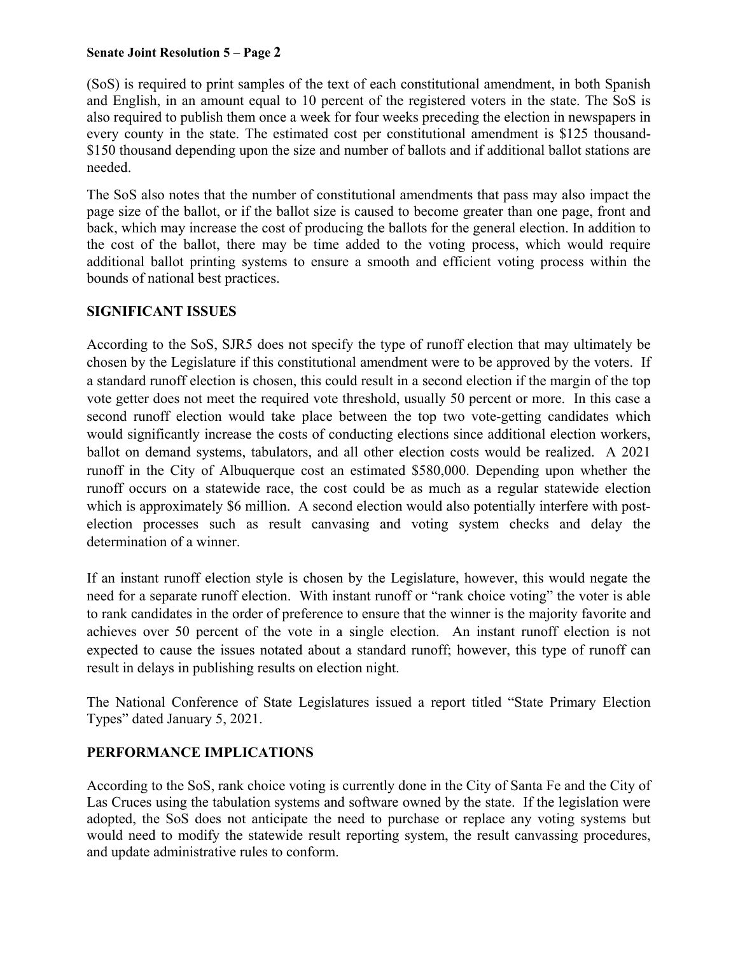### **Senate Joint Resolution 5 – Page 2**

(SoS) is required to print samples of the text of each constitutional amendment, in both Spanish and English, in an amount equal to 10 percent of the registered voters in the state. The SoS is also required to publish them once a week for four weeks preceding the election in newspapers in every county in the state. The estimated cost per constitutional amendment is \$125 thousand- \$150 thousand depending upon the size and number of ballots and if additional ballot stations are needed.

The SoS also notes that the number of constitutional amendments that pass may also impact the page size of the ballot, or if the ballot size is caused to become greater than one page, front and back, which may increase the cost of producing the ballots for the general election. In addition to the cost of the ballot, there may be time added to the voting process, which would require additional ballot printing systems to ensure a smooth and efficient voting process within the bounds of national best practices.

### **SIGNIFICANT ISSUES**

According to the SoS, SJR5 does not specify the type of runoff election that may ultimately be chosen by the Legislature if this constitutional amendment were to be approved by the voters. If a standard runoff election is chosen, this could result in a second election if the margin of the top vote getter does not meet the required vote threshold, usually 50 percent or more. In this case a second runoff election would take place between the top two vote-getting candidates which would significantly increase the costs of conducting elections since additional election workers, ballot on demand systems, tabulators, and all other election costs would be realized. A 2021 runoff in the City of Albuquerque cost an estimated \$580,000. Depending upon whether the runoff occurs on a statewide race, the cost could be as much as a regular statewide election which is approximately \$6 million. A second election would also potentially interfere with postelection processes such as result canvasing and voting system checks and delay the determination of a winner.

If an instant runoff election style is chosen by the Legislature, however, this would negate the need for a separate runoff election. With instant runoff or "rank choice voting" the voter is able to rank candidates in the order of preference to ensure that the winner is the majority favorite and achieves over 50 percent of the vote in a single election. An instant runoff election is not expected to cause the issues notated about a standard runoff; however, this type of runoff can result in delays in publishing results on election night.

The National Conference of State Legislatures issued a report titled "State Primary Election Types" dated January 5, 2021.

## **PERFORMANCE IMPLICATIONS**

According to the SoS, rank choice voting is currently done in the City of Santa Fe and the City of Las Cruces using the tabulation systems and software owned by the state. If the legislation were adopted, the SoS does not anticipate the need to purchase or replace any voting systems but would need to modify the statewide result reporting system, the result canvassing procedures, and update administrative rules to conform.